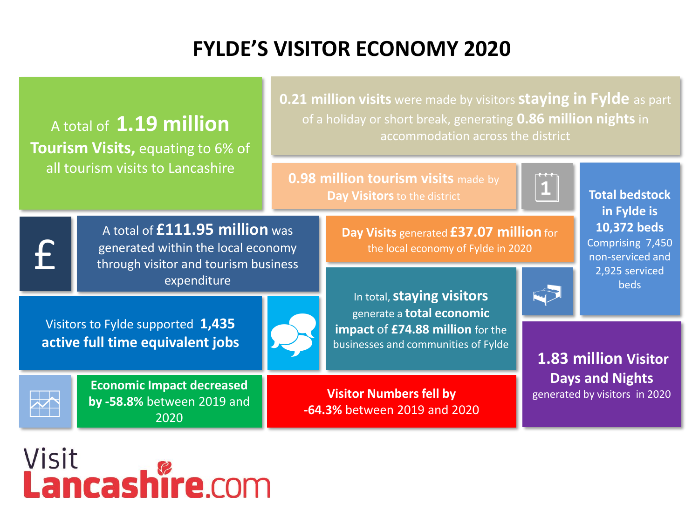## **FYLDE'S VISITOR ECONOMY 2020**



## Visit **Lancashire.com**